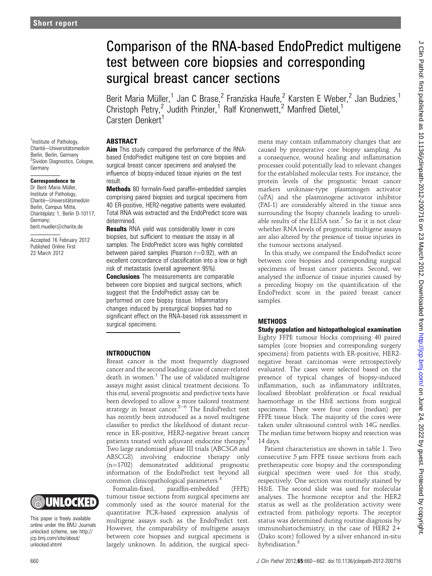# Comparison of the RNA-based EndoPredict multigene test between core biopsies and corresponding surgical breast cancer sections

Berit Maria Müller,<sup>1</sup> Jan C Brase,<sup>2</sup> Franziska Haufe,<sup>2</sup> Karsten E Weber,<sup>2</sup> Jan Budzies,<sup>1</sup> Christoph Petry,<sup>2</sup> Judith Prinzler,<sup>1</sup> Ralf Kronenwett,<sup>2</sup> Manfred Dietel,<sup>1</sup> Carsten Denkert<sup>1</sup>

# **ABSTRACT**

<sup>1</sup>Institute of Pathology, Charité-Universitätsmedizin Berlin, Berlin, Germany <sup>2</sup>Sividon Diagnostics, Cologne, Germany

# Correspondence to

Dr Berit Maria Müller, Institute of Pathology, Charité-Universitätsmedizin Berlin, Campus Mitte, Charitéplatz 1, Berlin D-10117, Germany; berit.mueller@charite.de

Accepted 16 February 2012 Published Online First 23 March 2012

Aim This study compared the perfomance of the RNAbased EndoPredict multigene test on core biopsies and surgical breast cancer specimens and analysed the influence of biopsy-induced tissue injuries on the test result.

Methods 80 formalin-fixed paraffin-embedded samples comprising paired biopsies and surgical specimens from 40 ER-positive, HER2-negative patients were evaluated. Total RNA was extracted and the EndoPredict score was determined.

**Results** RNA yield was considerably lower in core biopsies, but sufficient to measure the assay in all samples. The EndoPredict score was highly correlated between paired samples (Pearson  $r=0.92$ ), with an excellent concordance of classification into a low or high risk of metastasis (overall agreement 95%). **Conclusions** The measurements are comparable between core biopsies and surgical sections, which suggest that the EndoPredict assay can be performed on core biopsy tissue. Inflammatory changes induced by presurgical biopsies had no significant effect on the RNA-based risk assessment in surgical specimens.

## INTRODUCTION

Breast cancer is the most frequently diagnosed cancer and the second leading cause of cancer-related death in women. $1$  The use of validated multigene assays might assist clinical treatment decisions. To this end, several prognostic and predictive tests have been developed to allow a more tailored treatment strategy in breast cancer.<sup>2-6</sup> The EndoPredict test has recently been introduced as a novel multigene classifier to predict the likelihood of distant recurrence in ER-positive, HER2-negative breast cancer patients treated with adjuvant endocrine therapy.<sup>4</sup> Two large randomised phase III trials (ABCSG6 and ABSCG8) involving endocrine therapy only  $(n=1702)$  demonstrated additional prognostic information of the EndoPredict test beyond all common clinicopathological parameters.<sup>4</sup>

Formalin-fixed, paraffin-embedded (FFPE) tumour tissue sections from surgical specimens are commonly used as the source material for the quantitative PCR-based expression analysis of multigene assays such as the EndoPredict test. However, the comparability of multigene assays between core biopsies and surgical specimens is largely unknown. In addition, the surgical specimens may contain inflammatory changes that are caused by preoperative core biopsy sampling. As a consequence, wound healing and inflammation processes could potentially lead to relevant changes for the established molecular tests. For instance, the protein levels of the prognostic breast cancer markers urokinase-type plasminogen activator (uPA) and the plasminogene activator inhibitor (PAI-1) are considerably altered in the tissue area surrounding the biopsy channels leading to unreliable results of the ELISA test. $^7$  So far it is not clear whether RNA levels of prognostic multigene assays are also altered by the presence of tissue injuries in the tumour sections analysed.

In this study, we compared the EndoPredict score between core biopsies and corresponding surgical specimens of breast cancer patients. Second, we analysed the influence of tissue injuries caused by a preceding biopsy on the quantification of the EndoPredict score in the paired breast cancer samples.

#### **METHODS**

#### Study population and histopathological examination

Eighty FFPE tumour blocks comprising 40 paired samples (core biopsies and corresponding surgery specimens) from patients with ER-positive, HER2 negative breast carcinomas were retrospectively evaluated. The cases were selected based on the presence of typical changes of biopsy-induced inflammation, such as inflammatory infiltrates, localised fibroblast proliferation or focal residual haemorrhage in the H&E sections from surgical specimens. There were four cores (median) per FFPE tissue block. The majority of the cores were taken under ultrasound control with 14G needles. The median time between biopsy and resection was 14 days.

Patient characteristics are shown in table 1. Two consecutive  $5 \mu m$  FFPE tissue sections from each pretherapeutic core biopsy and the corresponding surgical specimen were used for this study, respectively. One section was routinely stained by H&E. The second slide was used for molecular analyses. The hormone receptor and the HER2 status as well as the proliferation activity were extracted from pathology reports. The receptor status was determined during routine diagnosis by immunohistochemistry, in the case of HER2 2+ (Dako score) followed by a silver enhanced in-situ hybridisation.<sup>8</sup>

This paper is freely available online under the BMJ Journals unlocked scheme, see http:// jcp.bmj.com/site/about/ unlocked.xhtml

UNLOCKED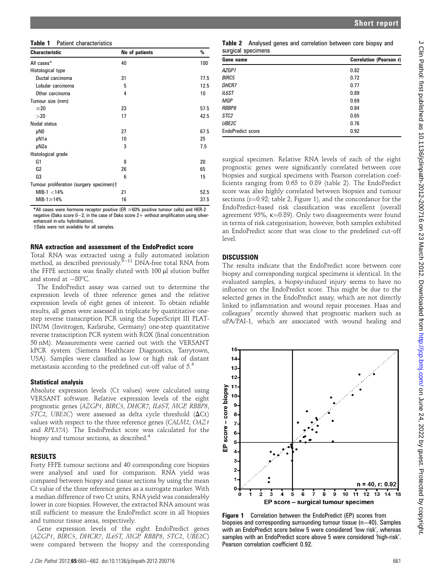| Table 1 | Patient characteristics |
|---------|-------------------------|
|---------|-------------------------|

| <b>Characteristic</b>                     | No of patients | %    |
|-------------------------------------------|----------------|------|
| All cases*                                | 40             | 100  |
| Histological type                         |                |      |
| Ductal carcinoma                          | 31             | 77.5 |
| Lobular carcinoma                         | 5              | 12.5 |
| Other carcinoma                           | 4              | 10   |
| Tumour size (mm)                          |                |      |
| $≤20$                                     | 23             | 57.5 |
| >20                                       | 17             | 42.5 |
| Nodal status                              |                |      |
| pN0                                       | 27             | 67.5 |
| pN1a                                      | 10             | 25   |
| pN2a                                      | 3              | 7.5  |
| Histological grade                        |                |      |
| G1                                        | 8              | 20   |
| G <sub>2</sub>                            | 26             | 65   |
| G3                                        | 6              | 15   |
| Tumour proliferation (surgery specimen) + |                |      |
| $MIB-1 < 14\%$                            | 21             | 52.5 |
| MIB-1 $\geq$ 14%                          | 16             | 37.5 |

\*All cases were hormone receptor positive (ER  $\geq$  60% positive tumour cells) and HER-2 negative (Dako score  $0-2$ ; in the case of Dako score  $2+$  without amplification using silverenhanced in-situ hybridisation).

yData were not available for all samples.

#### RNA extraction and assessment of the EndoPredict score

Total RNA was extracted using a fully automated isolation method, as described previously. $9-11$  DNA-free total RNA from the FFPE sections was finally eluted with 100 µl elution buffer and stored at  $-80^{\circ}$ C.

The EndoPredict assay was carried out to determine the expression levels of three reference genes and the relative expression levels of eight genes of interest. To obtain reliable results, all genes were assessed in triplicate by quantitative onestep reverse transcription PCR using the SuperScript III PLAT-INUM (Invitrogen, Karlsruhe, Germany) one-step quantitative reverse transcription PCR system with ROX (final concentration 50 nM). Measurements were carried out with the VERSANT kPCR system (Siemens Healthcare Diagnostics, Tarrytown, USA). Samples were classified as low or high risk of distant metastasis according to the predefined cut-off value of 5.4

#### Statistical analysis

Absolute expression levels (Ct values) were calculated using VERSANT software. Relative expression levels of the eight prognostic genes (AZGP1, BIRC5, DHCR7, IL6ST, MGP, RBBP8, STC2, UBE2C) were assessed as delta cycle threshold  $(\Delta Ct)$ values with respect to the three reference genes (CALM2, OAZ1 and RPL37A). The EndoPredict score was calculated for the biopsy and tumour sections, as described.<sup>4</sup>

#### RESULTS

Forty FFPE tumour sections and 40 corresponding core biopsies were analysed and used for comparison. RNA yield was compared between biopsy and tissue sections by using the mean Ct value of the three reference genes as a surrogate marker. With a median difference of two Ct units, RNA yield was considerably lower in core biopsies. However, the extracted RNA amount was still sufficient to measure the EndoPredict score in all biopsies and tumour tissue areas, respectively.

Gene expression levels of the eight EndoPredict genes (AZGP1, BIRC5, DHCR7, IL6ST, MGP, RBBP8, STC2, UBE2C) were compared between the biopsy and the corresponding

| Gene name                | Correlation (Pearson r) |  |
|--------------------------|-------------------------|--|
| AZGP1                    | 0.82                    |  |
| <b>BIRC5</b>             | 0.72                    |  |
| <b>DHCR7</b>             | 0.77                    |  |
| <b>IL6ST</b>             | 0.89                    |  |
| <b>MGP</b>               | 0.69                    |  |
| RBBP8                    | 0.84                    |  |
| STC <sub>2</sub>         | 0.65                    |  |
| UBE2C                    | 0.76                    |  |
| <b>EndoPredict score</b> | 0.92                    |  |

surgical specimen. Relative RNA levels of each of the eight prognostic genes were significantly correlated between core biopsies and surgical specimens with Pearson correlation coefficients ranging from 0.65 to 0.89 (table 2). The EndoPredict score was also highly correlated between biopsies and tumour sections ( $r=0.92$ ; table 2, Figure 1), and the concordance for the EndoPredict-based risk classification was excellent (overall agreement 95%,  $\kappa$ =0.89). Only two disagreements were found in terms of risk categorisation; however, both samples exhibited an EndoPredict score that was close to the predefined cut-off level.

## **DISCUSSION**

The results indicate that the EndoPredict score between core biopsy and corresponding surgical specimens is identical. In the evaluated samples, a biopsy-induced injury seems to have no influence on the EndoPredict score. This might be due to the selected genes in the EndoPredict assay, which are not directly linked to inflammation and wound repair processes. Haas and  $\text{colle}$  recently showed that prognostic markers such as uPA/PAI-1, which are associated with wound healing and



Figure 1 Correlation between the EndoPredict (EP) scores from biopsies and corresponding surrounding tumour tissue (n=40). Samples with an EndoPredict score below 5 were considered 'low risk', whereas samples with an EndoPredict score above 5 were considered 'high-risk'. Pearson correlation coefficient 0.92.